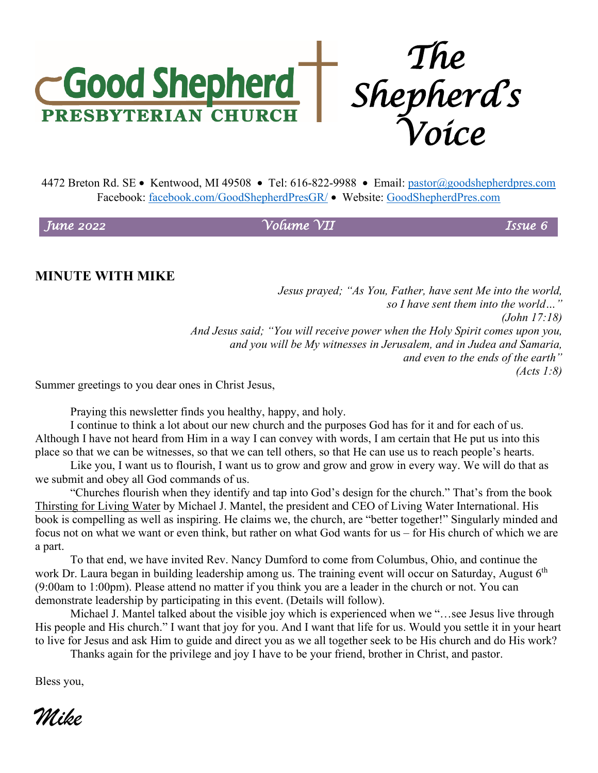

4472 Breton Rd. SE • Kentwood, MI 49508 • Tel: 616-822-9988 • Email: [pastor@goodshepherdpres.com](mailto:pastor@goodshepherdpres.com) Facebook: [facebook.com/GoodShepherdPresGR/](http://www.facebook.com/GoodShepherdPresGR/) • Website: [GoodShepherdPres.com](http://www.goodshepherdpres.com/)

*June 2022 Volume VII Issue 6* 

### **MINUTE WITH MIKE**

*Jesus prayed; "As You, Father, have sent Me into the world, so I have sent them into the world…" (John 17:18) And Jesus said; "You will receive power when the Holy Spirit comes upon you, and you will be My witnesses in Jerusalem, and in Judea and Samaria, and even to the ends of the earth" (Acts 1:8)*

Summer greetings to you dear ones in Christ Jesus,

Praying this newsletter finds you healthy, happy, and holy.

 I continue to think a lot about our new church and the purposes God has for it and for each of us. Although I have not heard from Him in a way I can convey with words, I am certain that He put us into this place so that we can be witnesses, so that we can tell others, so that He can use us to reach people's hearts.

 Like you, I want us to flourish, I want us to grow and grow and grow in every way. We will do that as we submit and obey all God commands of us.

"Churches flourish when they identify and tap into God's design for the church." That's from the book Thirsting for Living Water by Michael J. Mantel, the president and CEO of Living Water International. His book is compelling as well as inspiring. He claims we, the church, are "better together!" Singularly minded and focus not on what we want or even think, but rather on what God wants for us – for His church of which we are a part.

To that end, we have invited Rev. Nancy Dumford to come from Columbus, Ohio, and continue the work Dr. Laura began in building leadership among us. The training event will occur on Saturday, August  $6<sup>th</sup>$ (9:00am to 1:00pm). Please attend no matter if you think you are a leader in the church or not. You can demonstrate leadership by participating in this event. (Details will follow).

Michael J. Mantel talked about the visible joy which is experienced when we "…see Jesus live through His people and His church." I want that joy for you. And I want that life for us. Would you settle it in your heart to live for Jesus and ask Him to guide and direct you as we all together seek to be His church and do His work?

Thanks again for the privilege and joy I have to be your friend, brother in Christ, and pastor.

Bless you,

*Mike*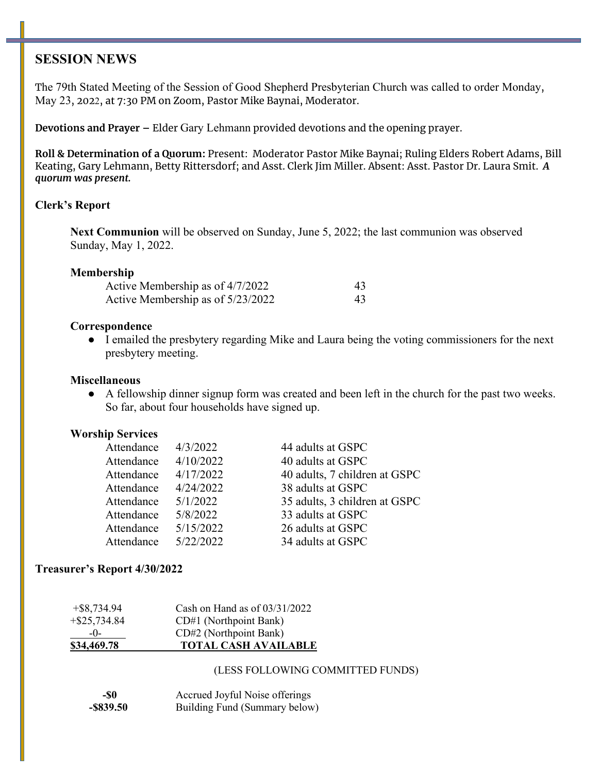### **SESSION NEWS**

The 79th Stated Meeting of the Session of Good Shepherd Presbyterian Church was called to order Monday, May 23, 2022, at 7:30 PM on Zoom, Pastor Mike Baynai, Moderator.

**Devotions and Prayer –** Elder Gary Lehmann provided devotions and the opening prayer.

**Roll & Determination of a Quorum:** Present: Moderator Pastor Mike Baynai; Ruling Elders Robert Adams, Bill Keating, Gary Lehmann, Betty Rittersdorf; and Asst. Clerk Jim Miller. Absent: Asst. Pastor Dr. Laura Smit. *A quorum was present.*

#### **Clerk's Report**

**Next Communion** will be observed on Sunday, June 5, 2022; the last communion was observed Sunday, May 1, 2022.

#### **Membership**

| Active Membership as of 4/7/2022  | 43  |
|-----------------------------------|-----|
| Active Membership as of 5/23/2022 | 43. |

#### **Correspondence**

● I emailed the presbytery regarding Mike and Laura being the voting commissioners for the next presbytery meeting.

#### **Miscellaneous**

● A fellowship dinner signup form was created and been left in the church for the past two weeks. So far, about four households have signed up.

#### **Worship Services**

| Attendance | 4/3/2022  | 44 adults at GSPC             |
|------------|-----------|-------------------------------|
| Attendance | 4/10/2022 | 40 adults at GSPC             |
| Attendance | 4/17/2022 | 40 adults, 7 children at GSPC |
| Attendance | 4/24/2022 | 38 adults at GSPC             |
| Attendance | 5/1/2022  | 35 adults, 3 children at GSPC |
| Attendance | 5/8/2022  | 33 adults at GSPC             |
| Attendance | 5/15/2022 | 26 adults at GSPC             |
| Attendance | 5/22/2022 | 34 adults at GSPC             |

#### **Treasurer's Report 4/30/2022**

| \$34,469.78     | <b>TOTAL CASH AVAILABLE</b>     |
|-----------------|---------------------------------|
| $-()$           | CD#2 (Northpoint Bank)          |
| $+$ \$25,734.84 | CD#1 (Northpoint Bank)          |
| $+$ \$8,734.94  | Cash on Hand as of $03/31/2022$ |

#### (LESS FOLLOWING COMMITTED FUNDS)

| -\$0         | Accrued Joyful Noise offerings |
|--------------|--------------------------------|
| $-$ \$839.50 | Building Fund (Summary below)  |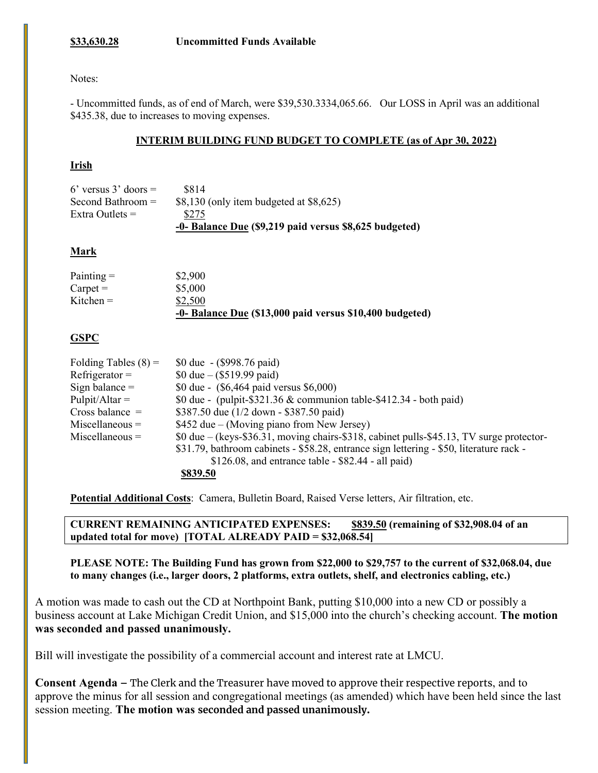#### **\$33,630.28 Uncommitted Funds Available**

#### Notes:

- Uncommitted funds, as of end of March, were \$39,530.3334,065.66. Our LOSS in April was an additional \$435.38, due to increases to moving expenses.

#### **INTERIM BUILDING FUND BUDGET TO COMPLETE (as of Apr 30, 2022)**

#### **Irish**

|                        | -0- Balance Due (\$9,219 paid versus \$8,625 budgeted) |
|------------------------|--------------------------------------------------------|
| Extra Outlets $=$      | \$275                                                  |
| Second Bathroom $=$    | $$8,130$ (only item budgeted at $$8,625$ )             |
| 6' versus $3'$ doors = | \$814                                                  |

#### **Mark**

| $Paining =$   | \$2,900                                                  |
|---------------|----------------------------------------------------------|
| $C$ arpet $=$ | \$5,000                                                  |
| Kitchen $=$   | \$2,500                                                  |
|               | -0- Balance Due (\$13,000 paid versus \$10,400 budgeted) |

#### **GSPC**

| Folding Tables $(8)$ = | \$0 due - (\$998.76 paid)                                                                         |
|------------------------|---------------------------------------------------------------------------------------------------|
| $Refrigerator =$       | \$0 due $-$ (\$519.99 paid)                                                                       |
| Sign balance $=$       | \$0 due - (\$6,464 paid versus \$6,000)                                                           |
| $Pulpit/Altar =$       | \$0 due - (pulpit-\$321.36 $\&$ communion table-\$412.34 - both paid)                             |
| Cross balance $=$      | \$387.50 due (1/2 down - \$387.50 paid)                                                           |
| $Miscellaneous =$      | \$452 due – (Moving piano from New Jersey)                                                        |
| $Miscellaneous =$      | $0$ due – (keys- $$36.31$ , moving chairs- $$318$ , cabinet pulls- $$45.13$ , TV surge protector- |
|                        | \$31.79, bathroom cabinets - \$58.28, entrance sign lettering - \$50, literature rack -           |
|                        | $$126.08$ , and entrance table - $$82.44$ - all paid)                                             |
|                        | \$839.50                                                                                          |

**Potential Additional Costs**: Camera, Bulletin Board, Raised Verse letters, Air filtration, etc.

**CURRENT REMAINING ANTICIPATED EXPENSES: \$839.50 (remaining of \$32,908.04 of an updated total for move) [TOTAL ALREADY PAID = \$32,068.54]**

**PLEASE NOTE: The Building Fund has grown from \$22,000 to \$29,757 to the current of \$32,068.04, due to many changes (i.e., larger doors, 2 platforms, extra outlets, shelf, and electronics cabling, etc.)** 

A motion was made to cash out the CD at Northpoint Bank, putting \$10,000 into a new CD or possibly a business account at Lake Michigan Credit Union, and \$15,000 into the church's checking account. **The motion was seconded and passed unanimously.**

Bill will investigate the possibility of a commercial account and interest rate at LMCU.

**Consent Agenda –** The Clerk and the Treasurer have moved to approve their respective reports, and to approve the minus for all session and congregational meetings (as amended) which have been held since the last session meeting. **The motion was seconded and passed unanimously.**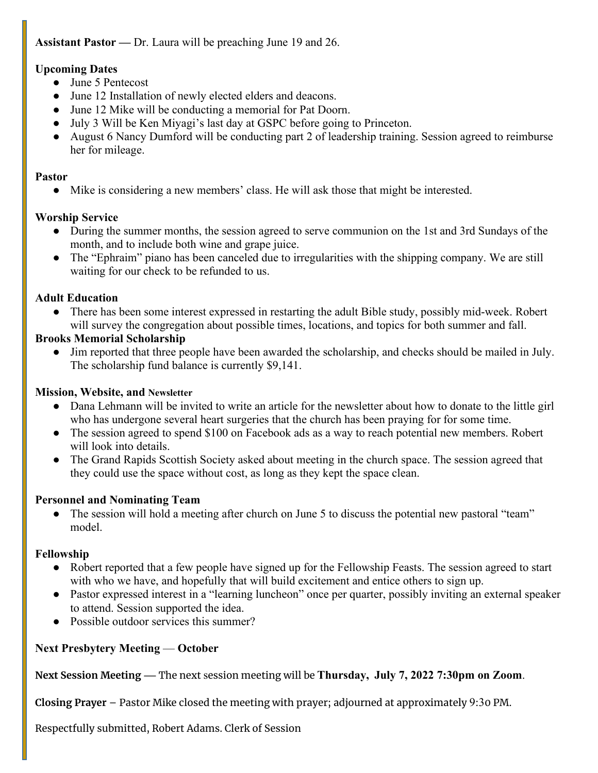### **Assistant Pastor —** Dr. Laura will be preaching June 19 and 26.

### **Upcoming Dates**

- June 5 Pentecost
- June 12 Installation of newly elected elders and deacons.
- June 12 Mike will be conducting a memorial for Pat Doorn.
- July 3 Will be Ken Miyagi's last day at GSPC before going to Princeton.
- August 6 Nancy Dumford will be conducting part 2 of leadership training. Session agreed to reimburse her for mileage.

### **Pastor**

● Mike is considering a new members' class. He will ask those that might be interested.

### **Worship Service**

- During the summer months, the session agreed to serve communion on the 1st and 3rd Sundays of the month, and to include both wine and grape juice.
- The "Ephraim" piano has been canceled due to irregularities with the shipping company. We are still waiting for our check to be refunded to us.

# **Adult Education**

There has been some interest expressed in restarting the adult Bible study, possibly mid-week. Robert will survey the congregation about possible times, locations, and topics for both summer and fall.

### **Brooks Memorial Scholarship**

• Jim reported that three people have been awarded the scholarship, and checks should be mailed in July. The scholarship fund balance is currently \$9,141.

### **Mission, Website, and Newsletter**

- Dana Lehmann will be invited to write an article for the newsletter about how to donate to the little girl who has undergone several heart surgeries that the church has been praying for for some time.
- The session agreed to spend \$100 on Facebook ads as a way to reach potential new members. Robert will look into details.
- The Grand Rapids Scottish Society asked about meeting in the church space. The session agreed that they could use the space without cost, as long as they kept the space clean.

# **Personnel and Nominating Team**

• The session will hold a meeting after church on June 5 to discuss the potential new pastoral "team" model.

# **Fellowship**

- Robert reported that a few people have signed up for the Fellowship Feasts. The session agreed to start with who we have, and hopefully that will build excitement and entice others to sign up.
- Pastor expressed interest in a "learning luncheon" once per quarter, possibly inviting an external speaker to attend. Session supported the idea.
- Possible outdoor services this summer?

# **Next Presbytery Meeting** — **October**

**Next Session Meeting —** The next session meeting will be **Thursday, July 7, 2022 7:30pm on Zoom**.

**Closing Prayer** – Pastor Mike closed the meeting with prayer; adjourned at approximately 9:30 PM.

Respectfully submitted, Robert Adams. Clerk of Session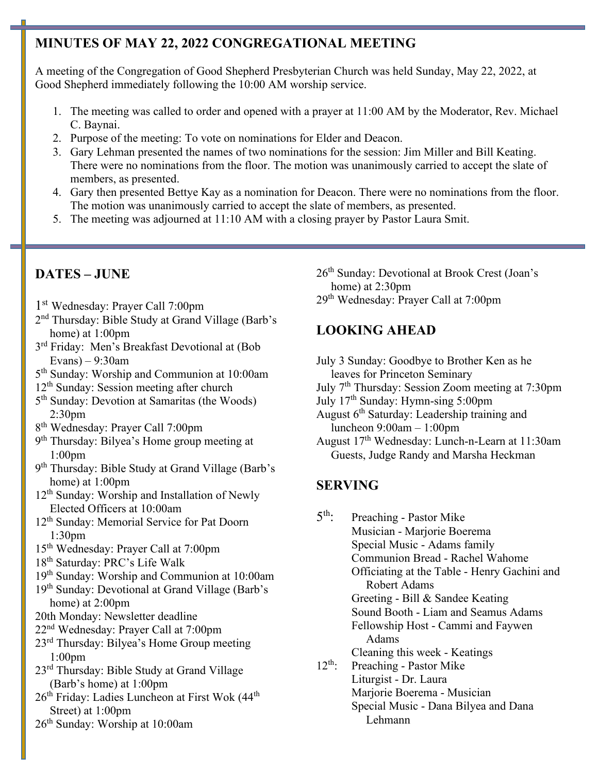# **MINUTES OF MAY 22, 2022 CONGREGATIONAL MEETING**

A meeting of the Congregation of Good Shepherd Presbyterian Church was held Sunday, May 22, 2022, at Good Shepherd immediately following the 10:00 AM worship service.

- 1. The meeting was called to order and opened with a prayer at 11:00 AM by the Moderator, Rev. Michael C. Baynai.
- 2. Purpose of the meeting: To vote on nominations for Elder and Deacon.
- 3. Gary Lehman presented the names of two nominations for the session: Jim Miller and Bill Keating. There were no nominations from the floor. The motion was unanimously carried to accept the slate of members, as presented.
- 4. Gary then presented Bettye Kay as a nomination for Deacon. There were no nominations from the floor. The motion was unanimously carried to accept the slate of members, as presented.
- 5. The meeting was adjourned at 11:10 AM with a closing prayer by Pastor Laura Smit.

# **DATES – JUNE**

- 1st Wednesday: Prayer Call 7:00pm
- 2nd Thursday: Bible Study at Grand Village (Barb's home) at 1:00pm
- 3<sup>rd</sup> Friday: Men's Breakfast Devotional at (Bob Evans) – 9:30am
- 5th Sunday: Worship and Communion at 10:00am
- 12<sup>th</sup> Sunday: Session meeting after church
- 5<sup>th</sup> Sunday: Devotion at Samaritas (the Woods) 2:30pm
- 8th Wednesday: Prayer Call 7:00pm
- 9th Thursday: Bilyea's Home group meeting at 1:00pm
- 9th Thursday: Bible Study at Grand Village (Barb's home) at 1:00pm
- 12<sup>th</sup> Sunday: Worship and Installation of Newly Elected Officers at 10:00am
- 12<sup>th</sup> Sunday: Memorial Service for Pat Doorn 1:30pm
- 15th Wednesday: Prayer Call at 7:00pm
- 18th Saturday: PRC's Life Walk
- 19th Sunday: Worship and Communion at 10:00am
- 19<sup>th</sup> Sunday: Devotional at Grand Village (Barb's home) at 2:00pm
- 20th Monday: Newsletter deadline
- 22nd Wednesday: Prayer Call at 7:00pm
- 23rd Thursday: Bilyea's Home Group meeting 1:00pm
- 23rd Thursday: Bible Study at Grand Village (Barb's home) at 1:00pm
- 26<sup>th</sup> Friday: Ladies Luncheon at First Wok (44<sup>th</sup>) Street) at 1:00pm
- 26th Sunday: Worship at 10:00am

26th Sunday: Devotional at Brook Crest (Joan's home) at 2:30pm

29th Wednesday: Prayer Call at 7:00pm

# **LOOKING AHEAD**

- July 3 Sunday: Goodbye to Brother Ken as he leaves for Princeton Seminary
- July 7th Thursday: Session Zoom meeting at 7:30pm
- July 17th Sunday: Hymn-sing 5:00pm
- August 6th Saturday: Leadership training and luncheon 9:00am – 1:00pm
- August 17th Wednesday: Lunch-n-Learn at 11:30am Guests, Judge Randy and Marsha Heckman

# **SERVING**

5th: Preaching - Pastor Mike

Musician - Marjorie Boerema Special Music - Adams family Communion Bread - Rachel Wahome Officiating at the Table - Henry Gachini and Robert Adams

Greeting - Bill & Sandee Keating Sound Booth - Liam and Seamus Adams Fellowship Host - Cammi and Faywen

Adams

Cleaning this week - Keatings

12<sup>th</sup>: Preaching - Pastor Mike Liturgist - Dr. Laura Marjorie Boerema - Musician Special Music - Dana Bilyea and Dana Lehmann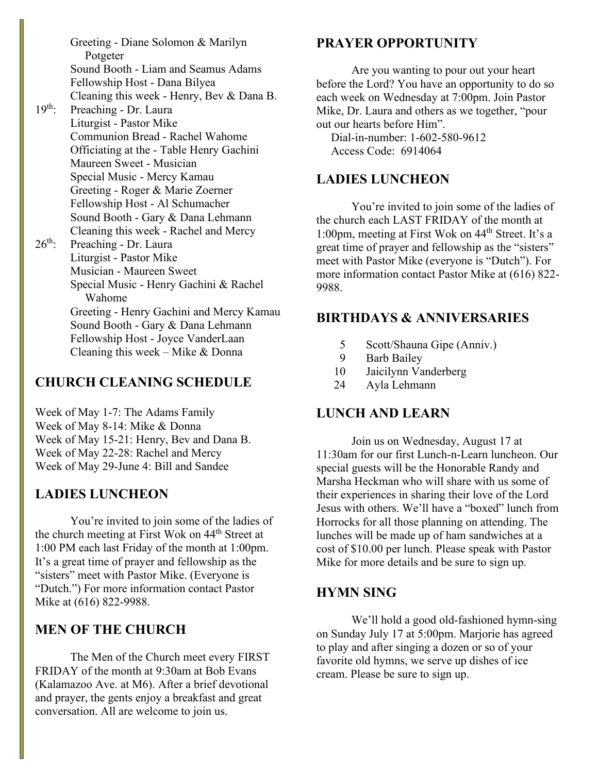Greeting - Diane Solomon & Marilyn Potgeter Sound Booth - Liam and Seamus Adams Fellowship Host - Dana Bilyea Cleaning this week - Henry, Bev & Dana B.

- 19<sup>th</sup>: Preaching Dr. Laura Liturgist - Pastor Mike Communion Bread - Rachel Wahome Officiating at the - Table Henry Gachini Maureen Sweet - Musician Special Music - Mercy Kamau Greeting - Roger & Marie Zoerner Fellowship Host - Al Schumacher Sound Booth - Gary & Dana Lehmann Cleaning this week - Rachel and Mercy  $26<sup>th</sup>$ : Preaching - Dr. Laura
	- Liturgist Pastor Mike Musician - Maureen Sweet Special Music - Henry Gachini & Rachel Wahome Greeting - Henry Gachini and Mercy Kamau Sound Booth - Gary & Dana Lehmann Fellowship Host - Joyce VanderLaan Cleaning this week – Mike & Donna

# **CHURCH CLEANING SCHEDULE**

Week of May 1-7: The Adams Family Week of May 8-14: Mike & Donna Week of May 15-21: Henry, Bev and Dana B. Week of May 22-28: Rachel and Mercy Week of May 29-June 4: Bill and Sandee

### **LADIES LUNCHEON**

You're invited to join some of the ladies of the church meeting at First Wok on 44<sup>th</sup> Street at 1:00 PM each last Friday of the month at 1:00pm. It's a great time of prayer and fellowship as the "sisters" meet with Pastor Mike. (Everyone is "Dutch.") For more information contact Pastor Mike at (616) 822-9988.

# **MEN OF THE CHURCH**

The Men of the Church meet every FIRST FRIDAY of the month at 9:30am at Bob Evans (Kalamazoo Ave. at M6). After a brief devotional and prayer, the gents enjoy a breakfast and great conversation. All are welcome to join us.

# **PRAYER OPPORTUNITY**

Are you wanting to pour out your heart before the Lord? You have an opportunity to do so each week on Wednesday at 7:00pm. Join Pastor Mike, Dr. Laura and others as we together, "pour out our hearts before Him".

 Dial-in-number: 1-602-580-9612 Access Code: 6914064

# **LADIES LUNCHEON**

You're invited to join some of the ladies of the church each LAST FRIDAY of the month at 1:00pm, meeting at First Wok on 44th Street. It's a great time of prayer and fellowship as the "sisters" meet with Pastor Mike (everyone is "Dutch"). For more information contact Pastor Mike at (616) 822- 9988.

# **BIRTHDAYS & ANNIVERSARIES**

- 5 Scott/Shauna Gipe (Anniv.)
- 9 Barb Bailey
- 10 Jaicilynn Vanderberg
- 24 Ayla Lehmann

# **LUNCH AND LEARN**

Join us on Wednesday, August 17 at 11:30am for our first Lunch-n-Learn luncheon. Our special guests will be the Honorable Randy and Marsha Heckman who will share with us some of their experiences in sharing their love of the Lord Jesus with others. We'll have a "boxed" lunch from Horrocks for all those planning on attending. The lunches will be made up of ham sandwiches at a cost of \$10.00 per lunch. Please speak with Pastor Mike for more details and be sure to sign up.

# **HYMN SING**

We'll hold a good old-fashioned hymn-sing on Sunday July 17 at 5:00pm. Marjorie has agreed to play and after singing a dozen or so of your favorite old hymns, we serve up dishes of ice cream. Please be sure to sign up.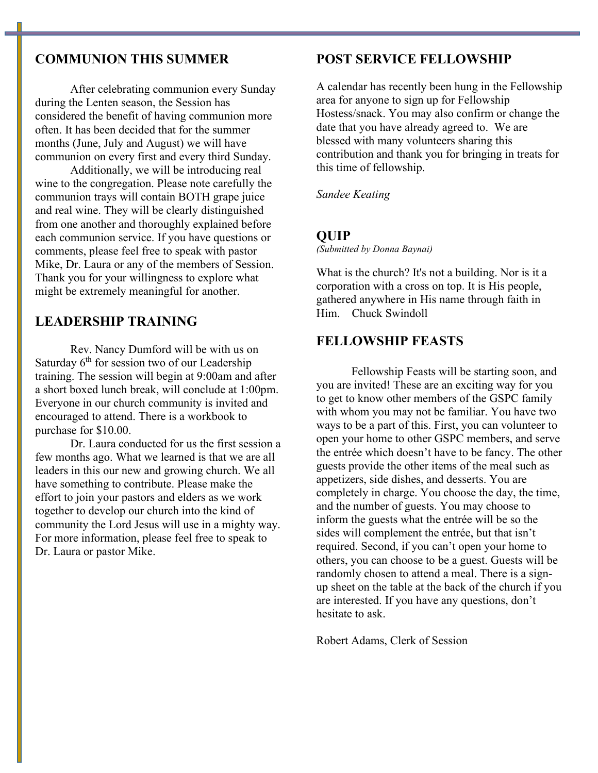### **COMMUNION THIS SUMMER**

After celebrating communion every Sunday during the Lenten season, the Session has considered the benefit of having communion more often. It has been decided that for the summer months (June, July and August) we will have communion on every first and every third Sunday.

 Additionally, we will be introducing real wine to the congregation. Please note carefully the communion trays will contain BOTH grape juice and real wine. They will be clearly distinguished from one another and thoroughly explained before each communion service. If you have questions or comments, please feel free to speak with pastor Mike, Dr. Laura or any of the members of Session. Thank you for your willingness to explore what might be extremely meaningful for another.

# **LEADERSHIP TRAINING**

Rev. Nancy Dumford will be with us on Saturday  $6<sup>th</sup>$  for session two of our Leadership training. The session will begin at 9:00am and after a short boxed lunch break, will conclude at 1:00pm. Everyone in our church community is invited and encouraged to attend. There is a workbook to purchase for \$10.00.

Dr. Laura conducted for us the first session a few months ago. What we learned is that we are all leaders in this our new and growing church. We all have something to contribute. Please make the effort to join your pastors and elders as we work together to develop our church into the kind of community the Lord Jesus will use in a mighty way. For more information, please feel free to speak to Dr. Laura or pastor Mike.

### **POST SERVICE FELLOWSHIP**

A calendar has recently been hung in the Fellowship area for anyone to sign up for Fellowship Hostess/snack. You may also confirm or change the date that you have already agreed to. We are blessed with many volunteers sharing this contribution and thank you for bringing in treats for this time of fellowship.

*Sandee Keating* 

### **QUIP**

*(Submitted by Donna Baynai)*

What is the church? It's not a building. Nor is it a corporation with a cross on top. It is His people, gathered anywhere in His name through faith in Him. Chuck Swindoll

### **FELLOWSHIP FEASTS**

Fellowship Feasts will be starting soon, and you are invited! These are an exciting way for you to get to know other members of the GSPC family with whom you may not be familiar. You have two ways to be a part of this. First, you can volunteer to open your home to other GSPC members, and serve the entrée which doesn't have to be fancy. The other guests provide the other items of the meal such as appetizers, side dishes, and desserts. You are completely in charge. You choose the day, the time, and the number of guests. You may choose to inform the guests what the entrée will be so the sides will complement the entrée, but that isn't required. Second, if you can't open your home to others, you can choose to be a guest. Guests will be randomly chosen to attend a meal. There is a signup sheet on the table at the back of the church if you are interested. If you have any questions, don't hesitate to ask.

Robert Adams, Clerk of Session